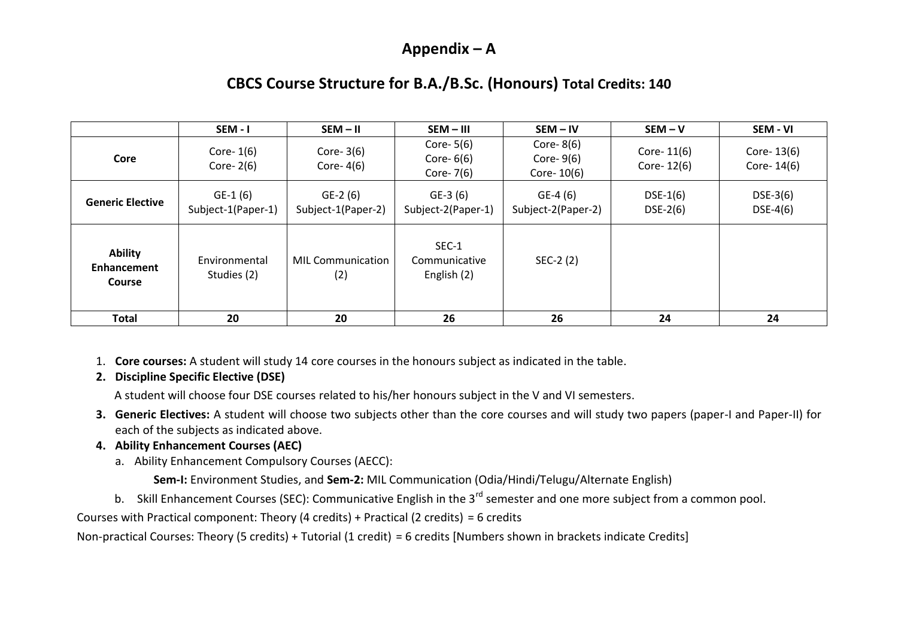### **Appendix – A**

# **CBCS Course Structure for B.A./B.Sc. (Honours) Total Credits: 140**

|                                                | SEM - I                         | $SEM - II$                      | SEM-III                                    | $SEM - IV$                                    | $SEM - V$                   | SEM - VI                       |
|------------------------------------------------|---------------------------------|---------------------------------|--------------------------------------------|-----------------------------------------------|-----------------------------|--------------------------------|
| Core                                           | Core- $1(6)$<br>Core- $2(6)$    | Core- $3(6)$<br>Core- $4(6)$    | Core- $5(6)$<br>Core- $6(6)$<br>Core- 7(6) | Core- $8(6)$<br>Core- $9(6)$<br>Core- $10(6)$ | Core- $11(6)$<br>Core-12(6) | Core- $13(6)$<br>Core- $14(6)$ |
| <b>Generic Elective</b>                        | $GE-1(6)$<br>Subject-1(Paper-1) | $GE-2(6)$<br>Subject-1(Paper-2) | GE-3 (6)<br>Subject-2(Paper-1)             | $GE-4(6)$<br>Subject-2(Paper-2)               | $DSE-1(6)$<br>$DSE-2(6)$    | $DSE-3(6)$<br>$DSE-4(6)$       |
| <b>Ability</b><br>Enhancement<br><b>Course</b> | Environmental<br>Studies (2)    | <b>MIL Communication</b><br>(2) | SEC-1<br>Communicative<br>English (2)      | SEC-2 (2)                                     |                             |                                |
| Total                                          | 20                              | 20                              | 26                                         | 26                                            | 24                          | 24                             |

1. **Core courses:** A student will study 14 core courses in the honours subject as indicated in the table.

### **2. Discipline Specific Elective (DSE)**

A student will choose four DSE courses related to his/her honours subject in the V and VI semesters.

**3. Generic Electives:** A student will choose two subjects other than the core courses and will study two papers (paper-I and Paper-II) for each of the subjects as indicated above.

### **4. Ability Enhancement Courses (AEC)**

a. Ability Enhancement Compulsory Courses (AECC):

**Sem-I:** Environment Studies, and **Sem-2:** MIL Communication (Odia/Hindi/Telugu/Alternate English)

b. Skill Enhancement Courses (SEC): Communicative English in the 3<sup>rd</sup> semester and one more subject from a common pool.

Courses with Practical component: Theory (4 credits) + Practical (2 credits) = 6 credits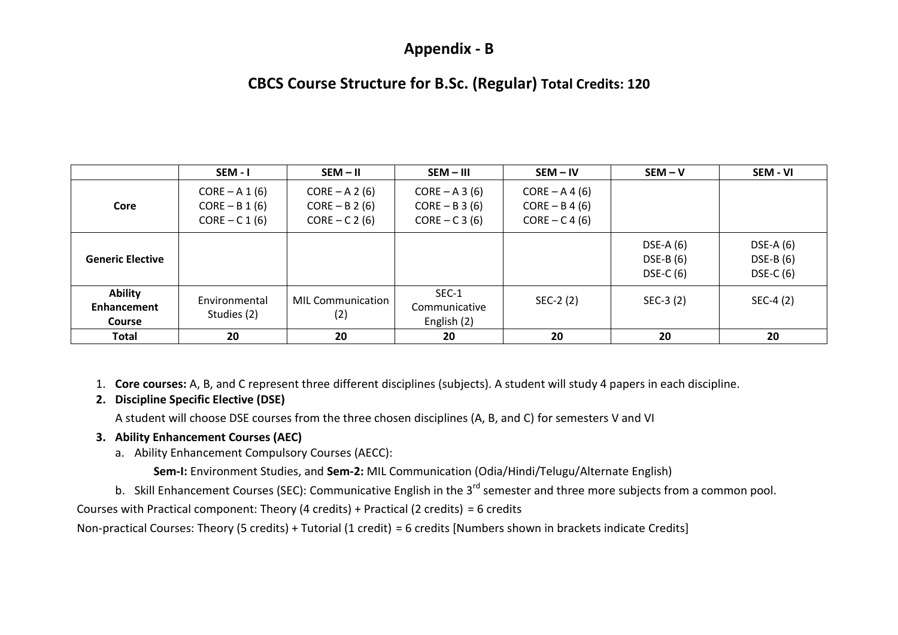### **Appendix - B**

## **CBCS Course Structure for B.Sc. (Regular) Total Credits: 120**

|                                                       | SEM-I                                                    | $SEM - II$                                               | SEM - III                                              | $SEM - IV$                                               | $SEM - V$                              | SEM - VI                                 |
|-------------------------------------------------------|----------------------------------------------------------|----------------------------------------------------------|--------------------------------------------------------|----------------------------------------------------------|----------------------------------------|------------------------------------------|
| Core                                                  | $CORE - A 1 (6)$<br>$CORE - B 1 (6)$<br>$CORE - C 1 (6)$ | $CORE - A 2 (6)$<br>$CORE - B 2 (6)$<br>$CORE - C 2 (6)$ | $CORE - A 3 (6)$<br>$CORE - B 3 (6)$<br>$CORE - C3(6)$ | $CORE - A 4 (6)$<br>$CORE - B 4 (6)$<br>$CORE - C 4 (6)$ |                                        |                                          |
| <b>Generic Elective</b>                               |                                                          |                                                          |                                                        |                                                          | $DSE-A(6)$<br>$DSE-B(6)$<br>$DSE-C(6)$ | DSE-A $(6)$<br>$DSE-B(6)$<br>DSE-C $(6)$ |
| <b>Ability</b><br><b>Enhancement</b><br><b>Course</b> | Environmental<br>Studies (2)                             | <b>MIL Communication</b><br>(2)                          | SEC-1<br>Communicative<br>English (2)                  | $SEC-2(2)$                                               | $SEC-3 (2)$                            | SEC-4 (2)                                |
| <b>Total</b>                                          | 20                                                       | 20                                                       | 20                                                     | 20                                                       | 20                                     | 20                                       |

1. **Core courses:** A, B, and C represent three different disciplines (subjects). A student will study 4 papers in each discipline.

### **2. Discipline Specific Elective (DSE)**

A student will choose DSE courses from the three chosen disciplines (A, B, and C) for semesters V and VI

### **3. Ability Enhancement Courses (AEC)**

a. Ability Enhancement Compulsory Courses (AECC):

**Sem-I:** Environment Studies, and **Sem-2:** MIL Communication (Odia/Hindi/Telugu/Alternate English)

b. Skill Enhancement Courses (SEC): Communicative English in the 3<sup>rd</sup> semester and three more subjects from a common pool.

Courses with Practical component: Theory (4 credits) + Practical (2 credits) = 6 credits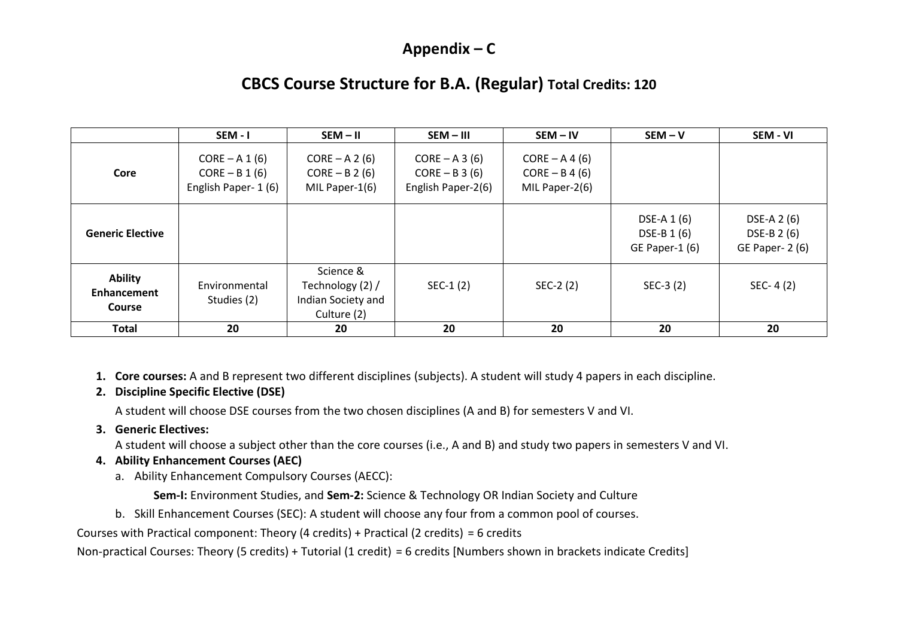# **Appendix – C**

# **CBCS Course Structure for B.A. (Regular) Total Credits: 120**

|                                                | SEM - I                                                      | $SEM - II$                                                         | SEM-III                                                    | $SEM - IV$                                             | $SEM - V$                                    | SEM - VI                                      |
|------------------------------------------------|--------------------------------------------------------------|--------------------------------------------------------------------|------------------------------------------------------------|--------------------------------------------------------|----------------------------------------------|-----------------------------------------------|
| Core                                           | $CORE - A 1 (6)$<br>$CORE - B 1 (6)$<br>English Paper- 1 (6) | $CORE - A 2 (6)$<br>$CORE - B 2 (6)$<br>MIL Paper-1(6)             | $CORE - A 3 (6)$<br>$CORE - B 3 (6)$<br>English Paper-2(6) | $CORE - A 4 (6)$<br>$CORE - B 4 (6)$<br>MIL Paper-2(6) |                                              |                                               |
| <b>Generic Elective</b>                        |                                                              |                                                                    |                                                            |                                                        | DSE-A 1 (6)<br>DSE-B 1 (6)<br>GE Paper-1 (6) | DSE-A 2 (6)<br>DSE-B 2 (6)<br>GE Paper- 2 (6) |
| <b>Ability</b><br>Enhancement<br><b>Course</b> | Environmental<br>Studies (2)                                 | Science &<br>Technology (2) /<br>Indian Society and<br>Culture (2) | $SEC-1(2)$                                                 | SEC-2 (2)                                              | $SEC-3 (2)$                                  | $SEC-4(2)$                                    |
| Total                                          | 20                                                           | 20                                                                 | 20                                                         | 20                                                     | 20                                           | 20                                            |

**1. Core courses:** A and B represent two different disciplines (subjects). A student will study 4 papers in each discipline.

#### **2. Discipline Specific Elective (DSE)**

A student will choose DSE courses from the two chosen disciplines (A and B) for semesters V and VI.

#### **3. Generic Electives:**

A student will choose a subject other than the core courses (i.e., A and B) and study two papers in semesters V and VI.

### **4. Ability Enhancement Courses (AEC)**

a. Ability Enhancement Compulsory Courses (AECC):

**Sem-I:** Environment Studies, and **Sem-2:** Science & Technology OR Indian Society and Culture

b. Skill Enhancement Courses (SEC): A student will choose any four from a common pool of courses.

Courses with Practical component: Theory (4 credits) + Practical (2 credits) = 6 credits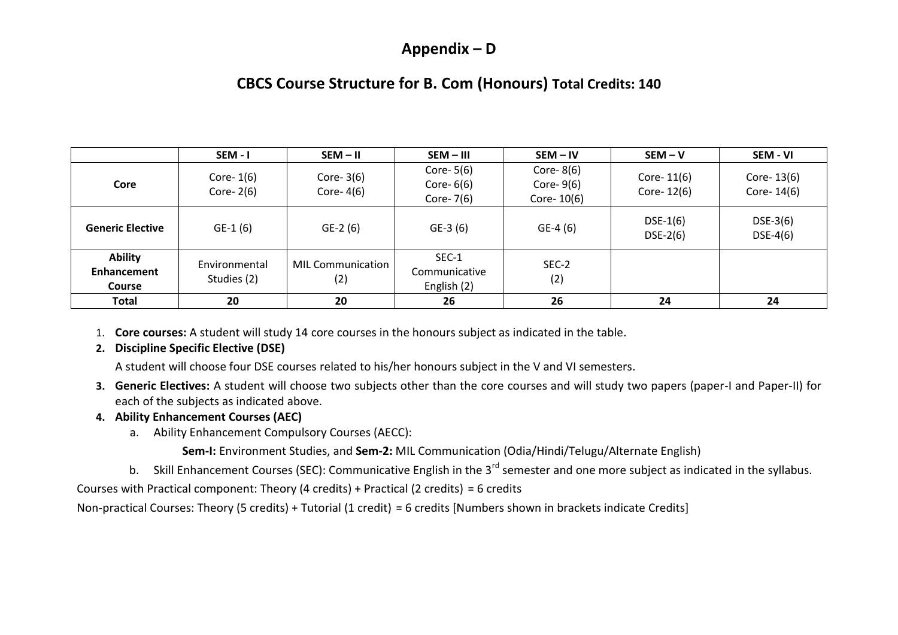### **Appendix – D**

# **CBCS Course Structure for B. Com (Honours) Total Credits: 140**

|                                                       | SEM-I                        | $SEM - II$                      | SEM-III                                   | $SEM - IV$                                    | $SEM - V$                   | SEM - VI                    |
|-------------------------------------------------------|------------------------------|---------------------------------|-------------------------------------------|-----------------------------------------------|-----------------------------|-----------------------------|
| Core                                                  | Core- $1(6)$<br>Core- $2(6)$ | Core- $3(6)$<br>Core- $4(6)$    | Core- $5(6)$<br>Core- $6(6)$<br>Core-7(6) | Core- $8(6)$<br>Core- $9(6)$<br>Core- $10(6)$ | Core- $11(6)$<br>Core-12(6) | Core- $13(6)$<br>Core-14(6) |
| <b>Generic Elective</b>                               | $GE-1(6)$                    | $GE-2(6)$                       | $GE-3(6)$                                 | $GE-4(6)$                                     | $DSE-1(6)$<br>$DSE-2(6)$    | $DSE-3(6)$<br>$DSE-4(6)$    |
| <b>Ability</b><br><b>Enhancement</b><br><b>Course</b> | Environmental<br>Studies (2) | <b>MIL Communication</b><br>(2) | SEC-1<br>Communicative<br>English (2)     | SEC-2<br>(2)                                  |                             |                             |
| <b>Total</b>                                          | 20                           | 20                              | 26                                        | 26                                            | 24                          | 24                          |

- 1. **Core courses:** A student will study 14 core courses in the honours subject as indicated in the table.
- **2. Discipline Specific Elective (DSE)**

A student will choose four DSE courses related to his/her honours subject in the V and VI semesters.

**3. Generic Electives:** A student will choose two subjects other than the core courses and will study two papers (paper-I and Paper-II) for each of the subjects as indicated above.

#### **4. Ability Enhancement Courses (AEC)**

a. Ability Enhancement Compulsory Courses (AECC):

**Sem-I:** Environment Studies, and **Sem-2:** MIL Communication (Odia/Hindi/Telugu/Alternate English)

b. Skill Enhancement Courses (SEC): Communicative English in the 3<sup>rd</sup> semester and one more subject as indicated in the syllabus.

Courses with Practical component: Theory (4 credits) + Practical (2 credits) = 6 credits